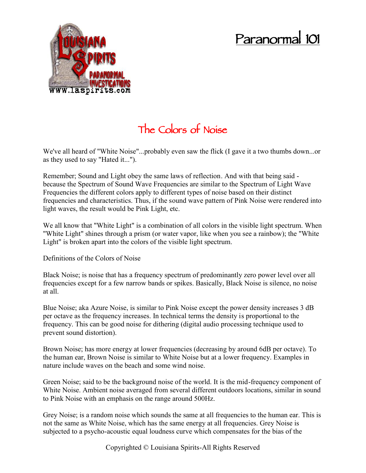## **Paranormal 101**



## **The Colors of Noise**

We've all heard of "White Noise"...probably even saw the flick (I gave it a two thumbs down...or as they used to say "Hated it...").

Remember; Sound and Light obey the same laws of reflection. And with that being said because the Spectrum of Sound Wave Frequencies are similar to the Spectrum of Light Wave Frequencies the different colors apply to different types of noise based on their distinct frequencies and characteristics. Thus, if the sound wave pattern of Pink Noise were rendered into light waves, the result would be Pink Light, etc.

We all know that "White Light" is a combination of all colors in the visible light spectrum. When "White Light" shines through a prism (or water vapor, like when you see a rainbow); the "White Light" is broken apart into the colors of the visible light spectrum.

Definitions of the Colors of Noise

Black Noise; is noise that has a frequency spectrum of predominantly zero power level over all frequencies except for a few narrow bands or spikes. Basically, Black Noise is silence, no noise at all.

Blue Noise; aka Azure Noise, is similar to Pink Noise except the power density increases 3 dB per octave as the frequency increases. In technical terms the density is proportional to the frequency. This can be good noise for dithering (digital audio processing technique used to prevent sound distortion).

Brown Noise; has more energy at lower frequencies (decreasing by around 6dB per octave). To the human ear, Brown Noise is similar to White Noise but at a lower frequency. Examples in nature include waves on the beach and some wind noise.

Green Noise; said to be the background noise of the world. It is the mid-frequency component of White Noise. Ambient noise averaged from several different outdoors locations, similar in sound to Pink Noise with an emphasis on the range around 500Hz.

Grey Noise; is a random noise which sounds the same at all frequencies to the human ear. This is not the same as White Noise, which has the same energy at all frequencies. Grey Noise is subjected to a psycho-acoustic equal loudness curve which compensates for the bias of the